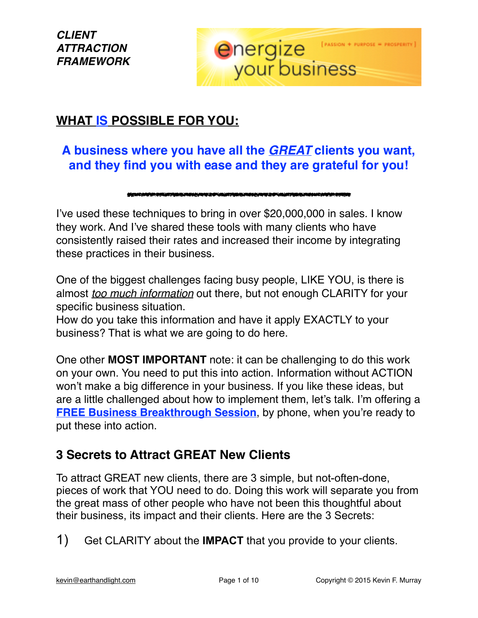

### **WHAT IS POSSIBLE FOR YOU:**

## **A business where you have all the** *GREAT* **clients you want, and they find you with ease and they are grateful for you!**

#### 

I've used these techniques to bring in over \$20,000,000 in sales. I know they work. And I've shared these tools with many clients who have consistently raised their rates and increased their income by integrating these practices in their business.

One of the biggest challenges facing busy people, LIKE YOU, is there is almost *too much information* out there, but not enough CLARITY for your specific business situation.

How do you take this information and have it apply EXACTLY to your business? That is what we are going to do here.

One other **MOST IMPORTANT** note: it can be challenging to do this work on your own. You need to put this into action. Information without ACTION won't make a big difference in your business. If you like these ideas, but are a little challenged about how to implement them, let's talk. I'm offering a **[FREE Business Breakthrough Session](http://myezonlinebusiness.com/sales/free-spiritual-business-builder-phone-coaching-session/)**, by phone, when you're ready to put these into action.

### **3 Secrets to Attract GREAT New Clients**

To attract GREAT new clients, there are 3 simple, but not-often-done, pieces of work that YOU need to do. Doing this work will separate you from the great mass of other people who have not been this thoughtful about their business, its impact and their clients. Here are the 3 Secrets:

1) Get CLARITY about the **IMPACT** that you provide to your clients.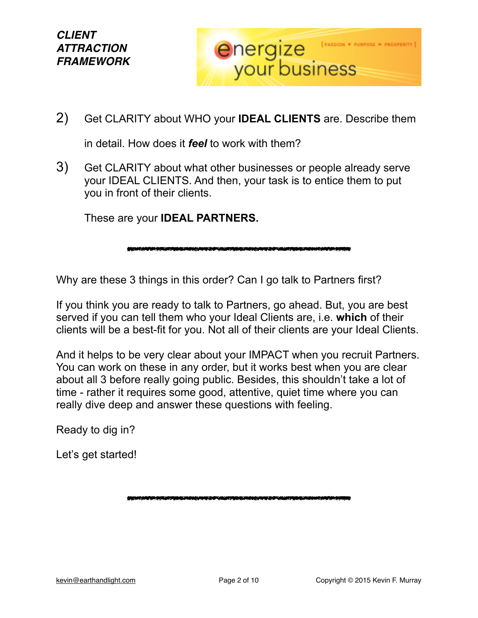

2) Get CLARITY about WHO your **IDEAL CLIENTS** are. Describe them

in detail. How does it *feel* to work with them?

3) Get CLARITY about what other businesses or people already serve your IDEAL CLIENTS. And then, your task is to entice them to put you in front of their clients.

These are your **IDEAL PARTNERS.**

Why are these 3 things in this order? Can I go talk to Partners first?

If you think you are ready to talk to Partners, go ahead. But, you are best served if you can tell them who your Ideal Clients are, i.e. **which** of their clients will be a best-fit for you. Not all of their clients are your Ideal Clients.

<u>UN TANDA MANGA YANG BIDA MANGA YANG BIDA MAMBAD</u>

And it helps to be very clear about your IMPACT when you recruit Partners. You can work on these in any order, but it works best when you are clear about all 3 before really going public. Besides, this shouldn't take a lot of time - rather it requires some good, attentive, quiet time where you can really dive deep and answer these questions with feeling.

Ready to dig in?

Let's get started!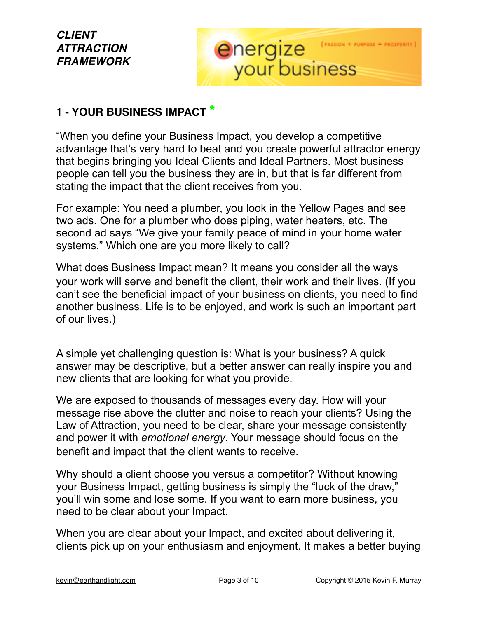# energize

#### **1 - YOUR BUSINESS IMPACT \***

"When you define your Business Impact, you develop a competitive advantage that's very hard to beat and you create powerful attractor energy that begins bringing you Ideal Clients and Ideal Partners. Most business people can tell you the business they are in, but that is far different from stating the impact that the client receives from you.

For example: You need a plumber, you look in the Yellow Pages and see two ads. One for a plumber who does piping, water heaters, etc. The second ad says "We give your family peace of mind in your home water systems." Which one are you more likely to call?

What does Business Impact mean? It means you consider all the ways your work will serve and benefit the client, their work and their lives. (If you can't see the beneficial impact of your business on clients, you need to find another business. Life is to be enjoyed, and work is such an important part of our lives.)

A simple yet challenging question is: What is your business? A quick answer may be descriptive, but a better answer can really inspire you and new clients that are looking for what you provide.

We are exposed to thousands of messages every day. How will your message rise above the clutter and noise to reach your clients? Using the Law of Attraction, you need to be clear, share your message consistently and power it with *emotional energy*. Your message should focus on the benefit and impact that the client wants to receive.

Why should a client choose you versus a competitor? Without knowing your Business Impact, getting business is simply the "luck of the draw," you'll win some and lose some. If you want to earn more business, you need to be clear about your Impact.

When you are clear about your Impact, and excited about delivering it, clients pick up on your enthusiasm and enjoyment. It makes a better buying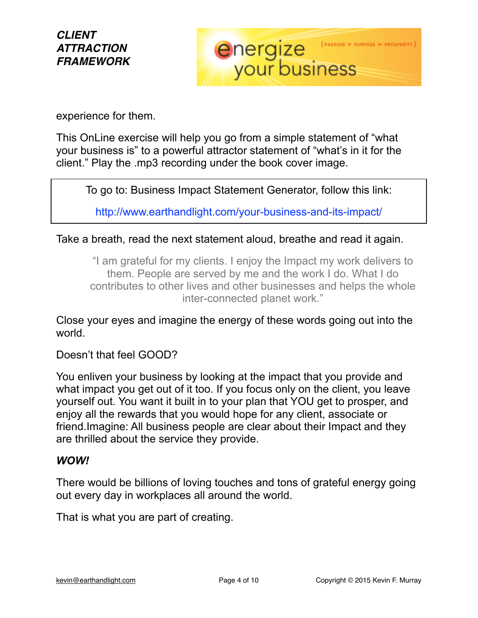

experience for them.

This OnLine exercise will help you go from a simple statement of "what your business is" to a powerful attractor statement of "what's in it for the client." Play the .mp3 recording under the book cover image.

To go to: Business Impact Statement Generator, follow this link:

<http://www.earthandlight.com/your-business-and-its-impact/>

Take a breath, read the next statement aloud, breathe and read it again.

"I am grateful for my clients. I enjoy the Impact my work delivers to them. People are served by me and the work I do. What I do contributes to other lives and other businesses and helps the whole inter-connected planet work."

Close your eyes and imagine the energy of these words going out into the world.

Doesn't that feel GOOD?

You enliven your business by looking at the impact that you provide and what impact you get out of it too. If you focus only on the client, you leave yourself out. You want it built in to your plan that YOU get to prosper, and enjoy all the rewards that you would hope for any client, associate or friend.Imagine: All business people are clear about their Impact and they are thrilled about the service they provide.

#### *WOW!*

There would be billions of loving touches and tons of grateful energy going out every day in workplaces all around the world.

That is what you are part of creating.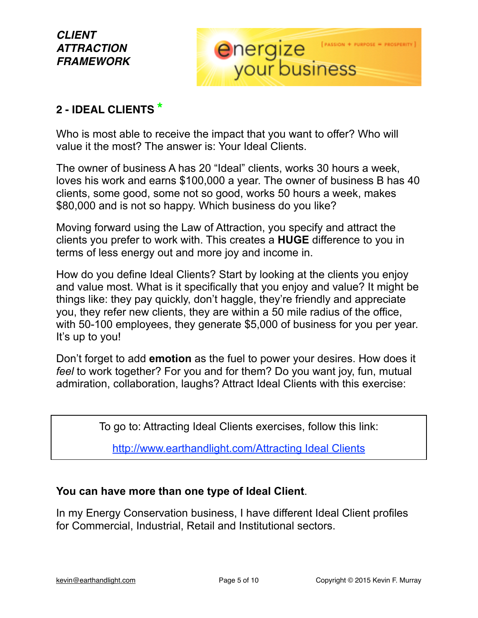

#### **2 - IDEAL CLIENTS \***

Who is most able to receive the impact that you want to offer? Who will value it the most? The answer is: Your Ideal Clients.

The owner of business A has 20 "Ideal" clients, works 30 hours a week, loves his work and earns \$100,000 a year. The owner of business B has 40 clients, some good, some not so good, works 50 hours a week, makes \$80,000 and is not so happy. Which business do you like?

Moving forward using the Law of Attraction, you specify and attract the clients you prefer to work with. This creates a **HUGE** difference to you in terms of less energy out and more joy and income in.

How do you define Ideal Clients? Start by looking at the clients you enjoy and value most. What is it specifically that you enjoy and value? It might be things like: they pay quickly, don't haggle, they're friendly and appreciate you, they refer new clients, they are within a 50 mile radius of the office, with 50-100 employees, they generate \$5,000 of business for you per year. It's up to you!

Don't forget to add **emotion** as the fuel to power your desires. How does it *feel* to work together? For you and for them? Do you want joy, fun, mutual admiration, collaboration, laughs? Attract Ideal Clients with this exercise:

To go to: Attracting Ideal Clients exercises, follow this link:

[http://www.earthandlight.com/Attracting Ideal Clients](http://www.earthandlight.com/attracting-your-ideal-clients/)

#### **You can have more than one type of Ideal Client**.

In my Energy Conservation business, I have different Ideal Client profiles for Commercial, Industrial, Retail and Institutional sectors.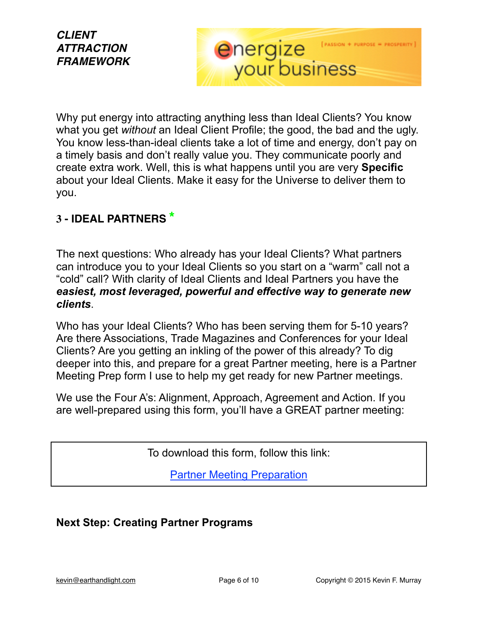#### Why put energy into attracting anything less than Ideal Clients? You know what you get *without* an Ideal Client Profile; the good, the bad and the ugly. You know less-than-ideal clients take a lot of time and energy, don't pay on a timely basis and don't really value you. They communicate poorly and create extra work. Well, this is what happens until you are very **Specific**  about your Ideal Clients. Make it easy for the Universe to deliver them to you.

energize

**FASSION + PURPOSE** 

#### **3 - IDEAL PARTNERS \***

The next questions: Who already has your Ideal Clients? What partners can introduce you to your Ideal Clients so you start on a "warm" call not a "cold" call? With clarity of Ideal Clients and Ideal Partners you have the *easiest, most leveraged, powerful and effective way to generate new clients*.

Who has your Ideal Clients? Who has been serving them for 5-10 years? Are there Associations, Trade Magazines and Conferences for your Ideal Clients? Are you getting an inkling of the power of this already? To dig deeper into this, and prepare for a great Partner meeting, here is a Partner Meeting Prep form I use to help my get ready for new Partner meetings.

We use the Four A's: Alignment, Approach, Agreement and Action. If you are well-prepared using this form, you'll have a GREAT partner meeting:

To download this form, follow this link:

[Partner Meeting Preparation](http://www.earthandlight.com/wp-content/uploads/2015/04/PartnerMeetingPrep.pdf)

#### **Next Step: Creating Partner Programs**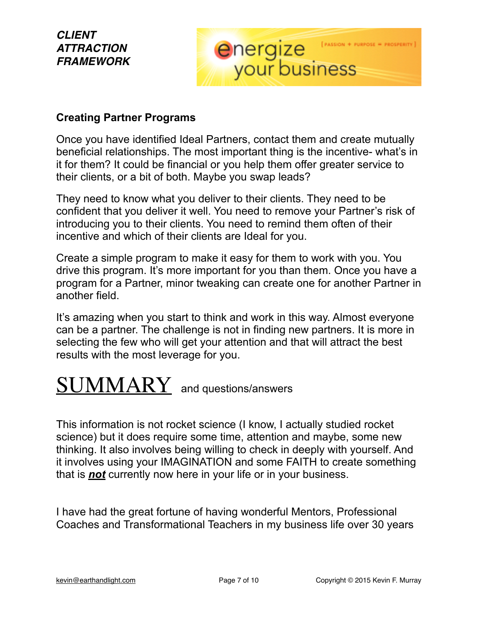# energize

#### **Creating Partner Programs**

Once you have identified Ideal Partners, contact them and create mutually beneficial relationships. The most important thing is the incentive- what's in it for them? It could be financial or you help them offer greater service to their clients, or a bit of both. Maybe you swap leads?

They need to know what you deliver to their clients. They need to be confident that you deliver it well. You need to remove your Partner's risk of introducing you to their clients. You need to remind them often of their incentive and which of their clients are Ideal for you.

Create a simple program to make it easy for them to work with you. You drive this program. It's more important for you than them. Once you have a program for a Partner, minor tweaking can create one for another Partner in another field.

It's amazing when you start to think and work in this way. Almost everyone can be a partner. The challenge is not in finding new partners. It is more in selecting the few who will get your attention and that will attract the best results with the most leverage for you.

# **SUMMARY** and questions/answers

This information is not rocket science (I know, I actually studied rocket science) but it does require some time, attention and maybe, some new thinking. It also involves being willing to check in deeply with yourself. And it involves using your IMAGINATION and some FAITH to create something that is *not* currently now here in your life or in your business.

I have had the great fortune of having wonderful Mentors, Professional Coaches and Transformational Teachers in my business life over 30 years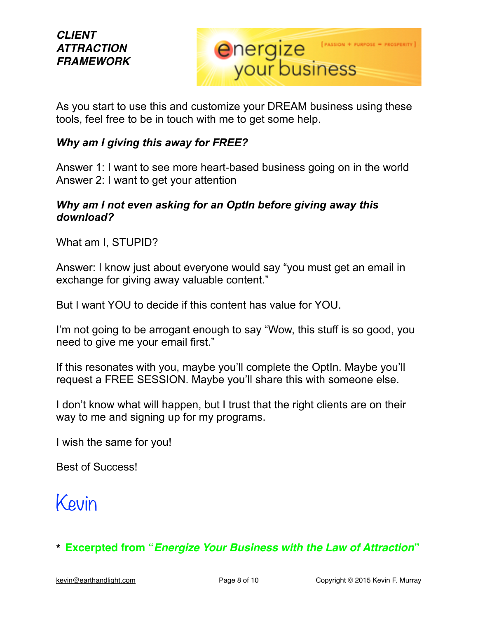

As you start to use this and customize your DREAM business using these tools, feel free to be in touch with me to get some help.

#### *Why am I giving this away for FREE?*

Answer 1: I want to see more heart-based business going on in the world Answer 2: I want to get your attention

#### *Why am I not even asking for an OptIn before giving away this download?*

What am I, STUPID?

Answer: I know just about everyone would say "you must get an email in exchange for giving away valuable content."

But I want YOU to decide if this content has value for YOU.

I'm not going to be arrogant enough to say "Wow, this stuff is so good, you need to give me your email first."

If this resonates with you, maybe you'll complete the OptIn. Maybe you'll request a FREE SESSION. Maybe you'll share this with someone else.

I don't know what will happen, but I trust that the right clients are on their way to me and signing up for my programs.

I wish the same for you!

Best of Success!

# Kevin

**\* Excerpted from "***Energize Your Business with the Law of Attraction***"**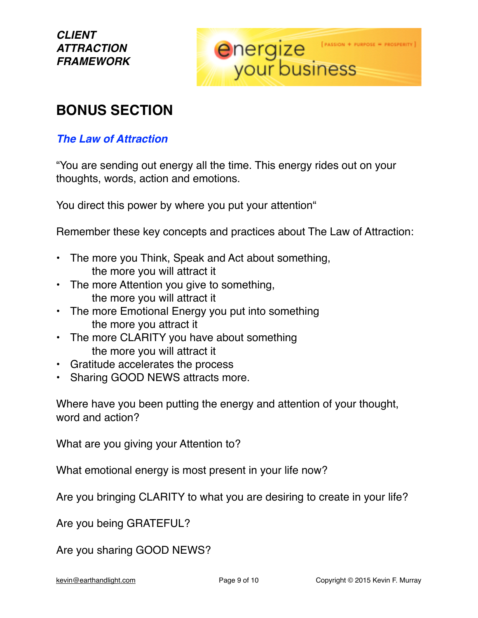

# **BONUS SECTION**

#### *The Law of Attraction*

"You are sending out energy all the time. This energy rides out on your thoughts, words, action and emotions.

You direct this power by where you put your attention"

Remember these key concepts and practices about The Law of Attraction:

- The more you Think, Speak and Act about something, the more you will attract it
- The more Attention you give to something, the more you will attract it
- The more Emotional Energy you put into something the more you attract it
- The more CLARITY you have about something the more you will attract it
- Gratitude accelerates the process
- Sharing GOOD NEWS attracts more.

Where have you been putting the energy and attention of your thought, word and action?

What are you giving your Attention to?

What emotional energy is most present in your life now?

Are you bringing CLARITY to what you are desiring to create in your life?

Are you being GRATEFUL?

Are you sharing GOOD NEWS?